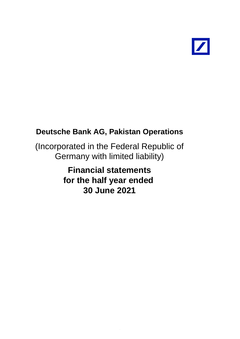

(Incorporated in the Federal Republic of Germany with limited liability)

> **Financial statements for the half year ended 30 June 2021**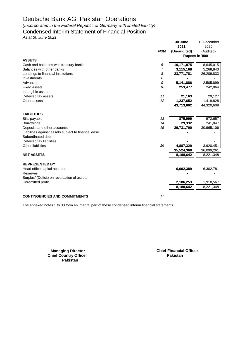*(Incorporated in the Federal Republic of Germany with limited liability)*

# Condensed Interim Statement of Financial Position

*As at 30 June 2021*

|                                                     |                | 30 June      | 31 December                   |
|-----------------------------------------------------|----------------|--------------|-------------------------------|
|                                                     |                | 2021         | 2020                          |
|                                                     | Note           | (Un-audited) | (Audited)                     |
|                                                     |                |              | ------- Rupees in '000 ------ |
| <b>ASSETS</b>                                       |                |              |                               |
| Cash and balances with treasury banks               | 6              | 10,171,875   | 8,645,015                     |
| Balances with other banks                           | $\overline{7}$ | 3,115,168    | 5,268,843                     |
| Lendings to financial institutions                  | 8              | 23,771,781   | 26,209,833                    |
| Investments                                         | 8              |              |                               |
| Advances                                            | 9              | 5,141,886    | 2,505,899                     |
| <b>Fixed assets</b>                                 | 10             | 253,477      | 242,064                       |
| Intangible assets                                   |                |              |                               |
| Deferred tax assets                                 | 11             | 21,163       | 29,127                        |
| Other assets                                        | 12             | 1,237,652    | 1,419,828                     |
|                                                     |                | 43,713,002   | 44,320,609                    |
|                                                     |                |              |                               |
| <b>LIABILITIES</b>                                  |                |              |                               |
| <b>Bills payable</b>                                | 13             | 875,999      | 972,657                       |
| <b>Borrowings</b>                                   | 14             | 29,332       | 241,047                       |
| Deposits and other accounts                         | 15             | 29,731,700   | 30,965,106                    |
| Liabilities against assets subject to finance lease |                |              |                               |
| Subordinated debt                                   |                |              |                               |
| Deferred tax liabilities                            |                |              |                               |
| <b>Other liabilities</b>                            | 16             | 4,887,329    | 3,920,451                     |
|                                                     |                | 35,524,360   | 36,099,261                    |
| <b>NET ASSETS</b>                                   |                | 8,188,642    | 8,221,348                     |
|                                                     |                |              |                               |
| <b>REPRESENTED BY</b>                               |                |              |                               |
| Head office capital account                         |                | 6,002,389    | 6,302,781                     |
| Reserves                                            |                |              |                               |
| Surplus/ (Deficit) on revaluation of assets         |                |              |                               |
| Unremitted profit                                   |                | 2,186,253    | 1,918,567                     |
|                                                     |                | 8,188,642    | 8,221,348                     |
|                                                     |                |              |                               |
| <b>CONTINGENCIES AND COMMITMENTS</b>                | 17             |              |                               |

The annexed notes 1 to 30 form an integral part of these condensed interim financial statements.

**Chief Country Officer Pakistan** 

**Managing Director Chief Financial Officer Pakistan**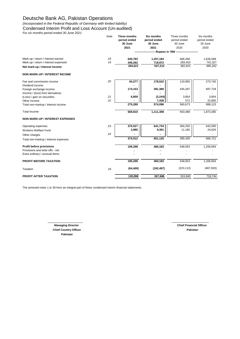*(Incorporated in the Federal Republic of Germany with limited liability)* Condensed Interim Profit and Loss Account (Un-audited)

*For six months period ended 30 June 2021*

|                                        | Note | Three months<br>period ended | <b>Six months</b><br>period ended | Three months<br>period ended | Six months<br>period ended |
|----------------------------------------|------|------------------------------|-----------------------------------|------------------------------|----------------------------|
|                                        |      | 30 June                      | 30 June                           | 30 June                      | 30 June                    |
|                                        |      | 2021                         | 2021                              | 2020                         | 2020                       |
|                                        |      |                              | - Rupees in '000 -                |                              |                            |
| Mark-up / return / interest earned     | 18   | 640,783                      | 1,257,184                         | 666,268                      | 1,626,589                  |
| Mark-up / return / interest expensed   | 19   | 346,262                      | 719,972                           | 283,453                      | 741,327                    |
| Net mark-up / interest income          |      | 294,521                      | 537,212                           | 382,815                      | 885,262                    |
| <b>NON MARK-UP / INTEREST INCOME</b>   |      |                              |                                   |                              |                            |
| Fee and commission income              | 20   | 94,277                       | 178,522                           | 110,950                      | 273,740                    |
| Dividend income                        |      |                              |                                   |                              |                            |
| Foreign exchange income                |      | 174,153                      | 391,380                           | 445,297                      | 687,729                    |
| Income / (loss) from derivatives       |      |                              |                                   |                              |                            |
| (Loss) / gain on securities            | 21   | 6,859                        | (3, 244)                          | 3,854                        | 3,854                      |
| Other income                           | 22   |                              | 7,438                             | 572                          | 22,800                     |
| Total non-markup / interest Income     |      | 275,289                      | 574,096                           | 560,673                      | 988,123                    |
| <b>Total Income</b>                    |      | 569,810                      | 1,111,308                         | 943,488                      | 1,873,385                  |
| <b>NON MARK-UP / INTEREST EXPENSES</b> |      |                              |                                   |                              |                            |
| Operating expenses                     | 23   | 370,527                      | 641,734                           | 384,250                      | 642,095                    |
| Workers Welfare Fund                   |      | 3,985                        | 9,391                             | 11,185                       | 24,626                     |
| Other charges                          | 24   |                              |                                   |                              |                            |
| Total non-markup / interest expenses   |      | 374,512                      | 651,125                           | 395,435                      | 666,721                    |
| Profit before provisions               |      | 195,298                      | 460,183                           | 548,053                      | 1,206,664                  |
| Provisions and write offs - net        |      |                              |                                   |                              |                            |
| Extra ordinary / unusual items         |      |                              |                                   |                              |                            |
| PROFIT BEFORE TAXATION                 |      | 195,298                      | 460,183                           | 548,053                      | 1,206,664                  |
| Taxation                               | 24   | (64, 400)                    | (192, 497)                        | (223, 113)                   | (487, 920)                 |
| PROFIT AFTER TAXATION                  |      | 130,898                      | 267,686                           | 324,940                      | 718,744                    |
|                                        |      |                              |                                   |                              |                            |

The annexed notes 1 to 30 form an integral part of these condensed interim financial statements.

**Managing Director** Chief Financial Officer **Chief Country Officer Pakistan Pakistan**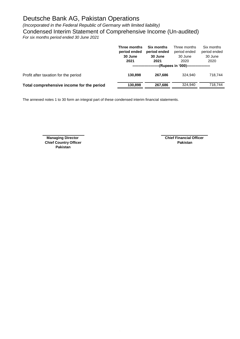*(Incorporated in the Federal Republic of Germany with limited liability)*

Condensed Interim Statement of Comprehensive Income (Un-audited)

*For six months period ended 30 June 2021*

|                                           | Three months<br>period ended<br>30 June<br>2021 | Six months<br>period ended<br>30 June<br>2021 | Three months<br>period ended<br>30 June<br>2020<br>--(Rupees in '000)-------------------- | Six months<br>period ended<br>30 June<br>2020 |
|-------------------------------------------|-------------------------------------------------|-----------------------------------------------|-------------------------------------------------------------------------------------------|-----------------------------------------------|
| Profit after taxation for the period      | 130.898                                         | 267.686                                       | 324.940                                                                                   | 718.744                                       |
| Total comprehensive income for the period | 130,898                                         | 267,686                                       | 324.940                                                                                   | 718.744                                       |

The annexed notes 1 to 30 form an integral part of these condensed interim financial statements.

**Chief Country Officer Pakistan Pakistan**

**Managing Director** Chief Financial Officer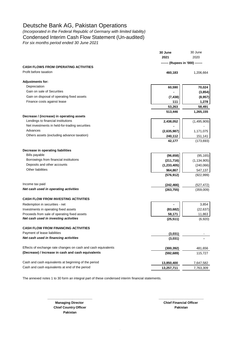*(Incorporated in the Federal Republic of Germany with limited liability)* Condensed Interim Cash Flow Statement (Un-audited) *For six months period ended 30 June 2021*

|                                                                                                                                                                                                                                                                           | 30 June<br>2021                  | 30 June<br>2020 |
|---------------------------------------------------------------------------------------------------------------------------------------------------------------------------------------------------------------------------------------------------------------------------|----------------------------------|-----------------|
| Depreciation<br>Gain on sale of Securities<br>Gain on disposal of operating fixed assets<br>Finance costs against lease<br>Lendings to financial institutions<br>Net investments in held-for-trading securities<br>Advances<br>Others assets (excluding advance taxation) | ------- (Rupees in '000) ------- |                 |
| <b>CASH FLOWS FROM OPERATING ACTIVITIES</b>                                                                                                                                                                                                                               |                                  |                 |
| Profit before taxation                                                                                                                                                                                                                                                    | 460,183                          | 1,206,664       |
| <b>Adjustments for:</b>                                                                                                                                                                                                                                                   |                                  |                 |
|                                                                                                                                                                                                                                                                           | 60,590                           | 70,024          |
|                                                                                                                                                                                                                                                                           |                                  | (3, 854)        |
|                                                                                                                                                                                                                                                                           | (7, 438)                         | (8,957)         |
|                                                                                                                                                                                                                                                                           | 111                              | 1,278           |
|                                                                                                                                                                                                                                                                           | 53,263                           | 58,491          |
|                                                                                                                                                                                                                                                                           | 513,446                          | 1,265,155       |
| Decrease / (increase) in operating assets                                                                                                                                                                                                                                 |                                  |                 |
|                                                                                                                                                                                                                                                                           | 2,438,052                        | (1,495,909)     |
|                                                                                                                                                                                                                                                                           |                                  |                 |
|                                                                                                                                                                                                                                                                           | (2,635,987)                      | 1,171,075       |
|                                                                                                                                                                                                                                                                           | 240,112                          | 151,141         |
|                                                                                                                                                                                                                                                                           | 42,177                           | (173, 693)      |
| Decrease in operating liabilities                                                                                                                                                                                                                                         |                                  |                 |
| <b>Bills payable</b>                                                                                                                                                                                                                                                      | (96, 658)                        | (95, 165)       |
| Borrowings from financial institutions                                                                                                                                                                                                                                    | (211, 716)                       | (1, 134, 905)   |
| Deposits and other accounts                                                                                                                                                                                                                                               | (1, 233, 405)                    | (240,066)       |
| Other liabilities                                                                                                                                                                                                                                                         | 964,867                          | 547,137         |
|                                                                                                                                                                                                                                                                           | (576, 912)                       | (922, 999)      |
| Income tax paid                                                                                                                                                                                                                                                           | (242, 466)                       | (527, 472)      |
| Net cash used in operating activities                                                                                                                                                                                                                                     | (263, 755)                       | (359,009)       |
| <b>CASH FLOW FROM INVESTING ACTIVITIES</b>                                                                                                                                                                                                                                |                                  |                 |
| Redemption in securities - net                                                                                                                                                                                                                                            |                                  | 3,854           |
| Investments in operating fixed assets                                                                                                                                                                                                                                     | (83, 682)                        | (22, 637)       |
| Proceeds from sale of operating fixed assets                                                                                                                                                                                                                              | 58,171                           | 11,863          |
| Net cash used in investing activities                                                                                                                                                                                                                                     | (25, 511)                        | (6,920)         |
| <b>CASH FLOW FROM FINANCING ACTIVITIES</b>                                                                                                                                                                                                                                |                                  |                 |
| Payment of lease liabilities                                                                                                                                                                                                                                              | (3,031)                          |                 |
| Net cash used in financing activities                                                                                                                                                                                                                                     | (3,031)                          |                 |
| Effects of exchange rate changes on cash and cash equivalents                                                                                                                                                                                                             | (300, 392)                       | 481,656         |
| (Decrease) / Increase in cash and cash equivalents                                                                                                                                                                                                                        | (592, 689)                       | 115,727         |
| Cash and cash equivalents at beginning of the period                                                                                                                                                                                                                      | 13,850,400                       | 7,647,582       |
| Cash and cash equivalents at end of the period                                                                                                                                                                                                                            | 13,257,711                       | 7,763,309       |
|                                                                                                                                                                                                                                                                           |                                  |                 |

**\_\_\_\_\_\_\_\_\_\_\_\_\_\_\_\_\_\_\_\_\_\_\_\_\_ \_\_\_\_\_\_\_\_\_\_\_\_\_\_\_\_\_\_\_\_\_\_\_\_\_**

The annexed notes 1 to 30 form an integral part of these condensed interim financial statements.

**Chief Country Officer Pakistan Pakistan**

**Managing Director** Chief Financial Officer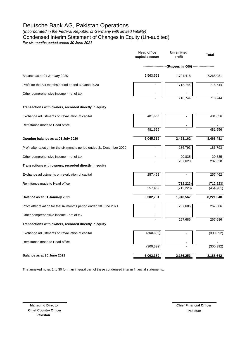*(Incorporated in the Federal Republic of Germany with limited liability)*

Condensed Interim Statement of Changes in Equity (Un-audited)

*For six months period ended 30 June 2021*

|                                                                        | <b>Head office</b><br>capital account | <b>Unremitted</b><br>profit | <b>Total</b>      |  |
|------------------------------------------------------------------------|---------------------------------------|-----------------------------|-------------------|--|
|                                                                        |                                       | --(Rupees in '000) --       |                   |  |
| Balance as at 01 January 2020                                          | 5,563,663                             | 1,704,418                   | 7,268,081         |  |
| Profit for the Six months period ended 30 June 2020                    |                                       | 718,744                     | 718,744           |  |
| Other comprehensive income - net of tax                                |                                       | 718,744                     | 718,744           |  |
| Transactions with owners, recorded directly in equity                  |                                       |                             |                   |  |
| Exchange adjustments on revaluation of capital                         | 481,656                               |                             | 481,656           |  |
| Remittance made to Head office                                         | 481,656                               |                             | 481,656           |  |
|                                                                        |                                       |                             |                   |  |
| Opening balance as at 01 July 2020                                     | 6,045,319                             | 2,423,162                   | 8,468,481         |  |
| Profit after taxation for the six months period ended 31 December 2020 |                                       | 186,793                     | 186,793           |  |
| Other comprehensive income - net of tax                                |                                       | 20,835<br>207,628           | 20,835<br>207,628 |  |
| Transactions with owners, recorded directly in equity                  |                                       |                             |                   |  |
| Exchange adjustments on revaluation of capital                         | 257,462                               |                             | 257,462           |  |
| Remittance made to Head office                                         |                                       | (712, 223)                  | (712,223)         |  |
|                                                                        | 257,462                               | (712, 223)                  | (454, 761)        |  |
| Balance as at 01 January 2021                                          | 6,302,781                             | 1,918,567                   | 8,221,348         |  |
| Profit after taxation for the six months period ended 30 June 2021     |                                       | 267,686                     | 267,686           |  |
| Other comprehensive income - net of tax                                |                                       |                             |                   |  |
| Transactions with owners, recorded directly in equity                  |                                       | 267,686                     | 267,686           |  |
| Exchange adjustments on revaluation of capital                         | (300, 392)                            |                             | (300, 392)        |  |
| Remittance made to Head office                                         | (300, 392)                            |                             | (300, 392)        |  |
| Balance as at 30 June 2021                                             | 6,002,389                             | 2,186,253                   | 8,188,642         |  |
|                                                                        |                                       |                             |                   |  |

The annexed notes 1 to 30 form an integral part of these condensed interim financial statements.

\_\_\_\_\_\_\_\_\_\_\_\_\_\_\_\_\_\_\_\_\_\_\_\_ \_\_\_\_\_\_\_\_\_\_\_\_\_\_\_\_\_\_\_\_\_\_\_\_

 **Managing Director Chief Country Officer Pakistan**

**Pakistan Chief Financial Officer**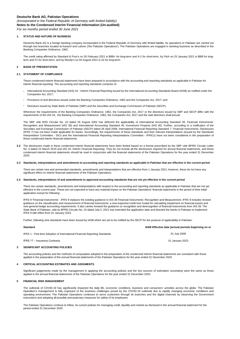*(Incorporated in the Federal Republic of Germany with limited liability)* **Notes to the Condensed Interim Financial Information (Un-audited)**

*For six months period ended 30 June 2021*

### **1. STATUS AND NATURE OF BUSINESS**

Deutsche Bank AG is a foreign banking company incorporated in the Federal Republic of Germany with limited liability. Its operations in Pakistan are carried out through two branches located at Karachi and Lahore ('the Pakistan Operations'). The Pakistan Operations are engaged in banking business as described in the Banking Companies Ordinance, 1962.

The credit rating affirmed by Standard & Poor's on 26 February 2021 is BBB+ for long-term and A-2 for short-term, by Fitch on 25 January 2021 is BBB for longterm and F2 for short-term; and by Moody's on 04 August 2021 is A2 for long-term.

### **2 BASIS OF PRESENTATION**

#### **2.1 STATEMENT OF COMPLIANCE**

These condensed interim financial statements have been prepared in accordance with the accounting and reporting standards as applicable in Pakistan for interim financial reporting. The accounting and reporting standards comprise of:

- **-** International Accounting Standard (IAS) 34 - Interim Financial Reporting issued by the International Accounting Standards Board (IASB) as notified under the Companies Act, 2017;
- **-** Provisions of and directives issued under the Banking Companies Ordinance, 1962 and the Companies Act, 2017; and
- **-** Directives issued by State Bank of Pakistan (SBP) and the Securities and Exchange Commission of Pakistan (SECP).

Whenever the requirements of the Banking Companies Ordinance, 1962, the Companies Act, 2017 or the directives issued by SBP and SECP differ with the requirements of the IAS 34, the Banking Companies Ordinance, 1962, the Companies Act, 2017 and the said directives shall prevail.

The SBP vide BSD Circular No. 10 dated 26 August 2002 has deferred the applicability of International Accounting Standard 39, Financial Instruments: Recognition and Measurement (IAS 39) and International Accounting Standard 40, Investment Property (IAS 40). Further, according to a notification of the Securities and Exchange Commission of Pakistan (SECP) dated 28 April 2008, International Financial Reporting Standard 7, Financial Instruments: Disclosures (IFRS 7) has not been made applicable for banks. Accordingly, the requirements of these standards and their relevant interpretations (issued by the Standards Interpretation Committee - SICs and the International Financial Reporting Interpretations Committee - IFRICs) have not been considered in the preparation of these condensed interim financial statements.

**2.2** The disclosures made in these condensed interim financial statements have been limited based on a format prescribed by the SBP vide BPRD Circular Letter No. 5 dated 22 March 2019 and IAS 34, Interim Financial Reporting. They do not include all the disclosures required for annual financial statements, and these condensed interim financial statements should be read in conjunction with the financial statements of the Pakistan Operations for the year ended 31 December 2020.

#### **2.3 Standards, interpretations and amendments to accounting and reporting standards as applicable in Pakistan that are effective in the current period**

There are certain new and ammended standards, amendments and interpretations that are effective from 1 January 2021; however, these do not have any significant effect on interim financial statements of the Pakistan Operations.

#### **2.4 Standards, interpretations of and amendments to approved accounting standards that are not yet effective in the current period**

There are certain standards, amendments and interpretations with respect to the accounting and reporting standards as applicable in Pakistan that are not yet effective in the current year. These are not expected to have any material impact on the Pakistan Operations' financial statements in the period of their initial application execpt for following:

IFRS 9 'Financial instruments' - IFRS 9 replaces the existing guidance in IAS 39 Financial Instruments: Recognition and Measurement. IFRS 9 includes revised guidance on the classification and measurement of financial instruments, a new expected credit loss model for calculating impairment on financial assets and new general hedge accounting requirements. It also carries forward the guidance on recognition and derecognition of financial instruments from IAS 39. The State Bank of Pakistan, vide its BPRD Circular No. 24 dated July 5, 2021 has extended the application date and directed the banks in Pakistan to implement IFRS 9 with effect from 01 January 2022.

Further, following new standards have been issued by IASB which are yet to be notified by the SECP for the purpose of applicability in Pakistan:

| <b>Standard</b>                                                             | IASB Effective date (annual periods beginning on or |
|-----------------------------------------------------------------------------|-----------------------------------------------------|
| IFRS 1 - First-time Adoption of International Financial Reporting Standards | 01 July 2009                                        |
| IFRS 17 - Insurance Contracts                                               | 01 January 2023                                     |
| SIGNIFICANT ACCOUNTING POLICIES                                             |                                                     |

The accounting policies and the methods of computation adopted in the preparation of the condensed interim financial statements are consistent with those applied in the preparation of the annual financial statements of the Pakistan Operations for the year ended 31 December 2020.

#### **4 CRITICAL ACCOUNTING ESTIMATES AND JUDGMENTS**

Significant judgements made by the management in applying the accounting policies and the key sources of estimation uncertainty were the same as those applied in the annual financial statements of the Pakistan Operations for the year ended 31 December 2020.

### **5 FINANCIAL RISK MANAGEMENT**

The outbreak of COVID-19 has significantly impacted the daily life, economic conditions, business and consumers' activities across the globe. The Pakistan Operation's management is fully cognisant of the business challenges posed by the COVID-19 outbreak due to rapidly changing economic conditions and operating environment. The Pakistan Operations continues to serve customers through its branches and the digital channels by observing the Government instructions and adopting all possible precautionary measures for safety of its employees.

The Pakistan Operations continue to follow its current policies for managing credit, liquidity and market as disclosed in the annual financial statement for the period ended 31 December 2020.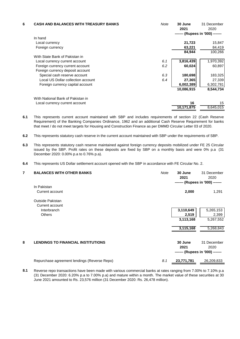| 6 | <b>CASH AND BALANCES WITH TREASURY BANKS</b> | Note | 30 June<br>2021<br>------- (Rupees in '000) ------- | 31 December<br>2020 |
|---|----------------------------------------------|------|-----------------------------------------------------|---------------------|
|   | In hand                                      |      |                                                     |                     |
|   | Local currency                               |      | 21,723                                              | 15,847              |
|   | Foreign currency                             |      | 63,221                                              | 84,419              |
|   |                                              |      | 84,944                                              | 100,266             |
|   | With State Bank of Pakistan in               |      |                                                     |                     |
|   | Local currency current account               | 6.1  | 3,816,439                                           | 1,970,392           |
|   | Foreign currency current account             | 6.2  | 60,024                                              | 60,897              |
|   | Foreign currency deposit account             |      |                                                     |                     |
|   | Special cash reserve account                 | 6.3  | 180,698                                             | 183,325             |
|   | Local US Dollar collection account           | 6.4  | 27,365                                              | 27,339              |
|   | Foreign currency capital account             |      | 6,002,389                                           | 6,302,781           |
|   |                                              |      | 10,086,915                                          | 8,544,734           |
|   | With National Bank of Pakistan in            |      |                                                     |                     |
|   | Local currency current account               |      | 16                                                  | 15                  |
|   |                                              |      | 10,171,875                                          | 8,645,015           |

- **6.1** This represents current account maintained with SBP and includes requirements of section 22 (Cash Reserve Requirement) of the Banking Companies Ordinance, 1962 and an additional Cash Reserve Requirement for banks that meet / do not meet targets for Housing and Construction Finance as per DMMD Circular Letter 03 of 2020.
- **6.2** This represents statutory cash reserve in the current account maintained with SBP under the requirements of SBP.
- **6.3** This represents statutory cash reserve maintained against foreign currency deposits mobilized under FE 25 Circular issued by the SBP. Profit rates on these deposits are fixed by SBP on a monthly basis and were 0% p.a (31 December 2020: 0.00% p.a to 0.76% p.a).
- **6.4** This represents US Dollar settlement account opened with the SBP in accordance with FE Circular No. 2.

| 7 | <b>BALANCES WITH OTHER BANKS</b>             | Note | 30 June<br>2021<br>------- (Rupees in '000) ------- | 31 December<br>2020              |
|---|----------------------------------------------|------|-----------------------------------------------------|----------------------------------|
|   | In Pakistan                                  |      |                                                     |                                  |
|   | Current account                              |      | 2,000                                               | 1,291                            |
|   | Outside Pakistan                             |      |                                                     |                                  |
|   | Current account                              |      |                                                     |                                  |
|   | Interbranch                                  |      | 3,110,649                                           | 5,265,153                        |
|   | <b>Others</b>                                |      | 2,519                                               | 2,399                            |
|   |                                              |      | 3,113,168                                           | 5,267,552                        |
|   |                                              |      | 3,115,168                                           | 5,268,843                        |
|   |                                              |      |                                                     |                                  |
| 8 | <b>LENDINGS TO FINANCIAL INSTITUTIONS</b>    |      | 30 June                                             | 31 December                      |
|   |                                              |      | 2021                                                | 2020                             |
|   |                                              |      |                                                     | ------- (Rupees in '000) ------- |
|   | Repurchase agreement lendings (Reverse Repo) | 8.1  | 23,771,781                                          | 26,209,833                       |

**8.1** Reverse repo transactions have been made with various commercial banks at rates ranging from 7.00% to 7.10% p.a (31 December 2020: 6.20% p.a to 7.00% p.a) and mature within a month. The market value of these securities at 30 June 2021 amounted to Rs. 23,576 million (31 December 2020: Rs. 26,478 million).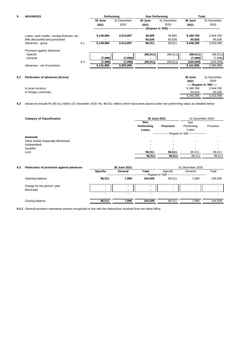# **9 ADVANCES**

| 9   | <b>ADVANCES</b>                             |     | Performing |             | <b>Non Performing</b> |                                              | Total      |                          |
|-----|---------------------------------------------|-----|------------|-------------|-----------------------|----------------------------------------------|------------|--------------------------|
|     |                                             |     | 30 June    | 31 December | 30 June               | 31 December                                  | 30 June    | 31 December              |
|     |                                             |     | 2021       | 2020        | 2021                  | 2020                                         | 2021       | 2020                     |
|     |                                             |     |            |             |                       | (Rupees in '000) --------------------------- |            |                          |
|     | Loans, cash credits, running finances, etc. |     | 5,149,884  | 2,513,897   | 30,885                | 30,885                                       | 5,180,769  | 2,544,782                |
|     | Bills discounted and purchased              |     |            |             | 65,626                | 65,626                                       | 65,626     | 65,626                   |
|     | Advances - gross                            | 9.1 | 5,149,884  | 2,513,897   | 96,511                | 96,511                                       | 5,246,395  | 2,610,408                |
|     | Provision against advances                  |     |            |             |                       |                                              |            |                          |
|     | - Specific                                  |     |            |             | (96, 511)             | (96, 511)                                    | (96, 511)  | (96, 511)                |
|     | - General                                   |     | (7,998)    | (7,998)     |                       | $\overline{\phantom{0}}$                     | (7,998)    | (7,998)                  |
|     |                                             | 9.3 | (7,998)    | (7,998)     | (96, 511)             | (96, 511)                                    | (104, 509) | (104, 509)               |
|     | Advances - net of provision                 |     | 5,141,886  | 2,505,899   |                       |                                              | 5,141,886  | 2,505,899                |
|     |                                             |     |            |             |                       |                                              |            |                          |
| 9.1 | <b>Particulars of advances (Gross)</b>      |     |            |             |                       |                                              | 30 June    | 31 December              |
|     |                                             |     |            |             |                       |                                              | 2021       | 2020                     |
|     |                                             |     |            |             |                       |                                              |            | ---- Rupees in '000 ---- |

| In local currency     | 5,180,769 | 2,544,782 |
|-----------------------|-----------|-----------|
| In foreign currencies | 65.626    | 65.626    |
|                       | 5.246.395 | 2,610,408 |

**9.2** Advances include Rs.96.511 million (31 December 2020: Rs. 96.511 million) which have been placed under non-performing status as detailed below:

| <b>Category of Classification</b> | 30 June 2021<br>31 December 2020  |                  |                                                   |           |
|-----------------------------------|-----------------------------------|------------------|---------------------------------------------------|-----------|
|                                   | <b>Non</b><br>Performing<br>Loans | <b>Provision</b> | Non<br>Performing<br>Loans                        | Provision |
|                                   |                                   |                  | --------------- Rupees in '000 ------------------ |           |
| <b>Domestic</b>                   |                                   |                  |                                                   |           |
| Other Assets Especially Mentioned |                                   |                  | $\overline{\phantom{0}}$                          |           |
| Substandard                       |                                   | ۰                | $\overline{\phantom{0}}$                          |           |
| Doubtful                          |                                   | ۰                | $\overline{\phantom{0}}$                          |           |
| Loss                              | 96,511                            | 96,511           | 96,511                                            | 96,511    |
|                                   | 96,511                            | 96,511           | 96,511                                            | 96,511    |
|                                   |                                   |                  |                                                   |           |

| 9.3 | Particulars of provision against advances | 30 June 2021    |                          |         | 31 December 2020                           |                          |         |
|-----|-------------------------------------------|-----------------|--------------------------|---------|--------------------------------------------|--------------------------|---------|
|     |                                           | <b>Specific</b> | General                  | Total   | Specific                                   | General                  | Total   |
|     |                                           |                 |                          |         | -- Rupees in '000 ------------------------ |                          |         |
|     | Opening balance                           | 96.511          | 7.998                    | 104.509 | 96.511                                     | 7.998                    | 104,509 |
|     | Charge for the period / year              |                 | $\overline{\phantom{0}}$ |         | $\overline{\phantom{a}}$                   | $\overline{\phantom{0}}$ |         |
|     | Reversals                                 | ۰               | $\blacksquare$           |         | $\overline{\phantom{a}}$                   | -                        |         |
|     |                                           |                 | $\blacksquare$           | ۰       |                                            |                          |         |
|     | Closing balance                           | 96.511          | 7.998                    | 104.509 | 96.511                                     | 7.998                    | 104,509 |
|     |                                           |                 |                          |         |                                            |                          |         |

**9.3.1** General provision represents amount recognized in line with the instructions received from the Head office.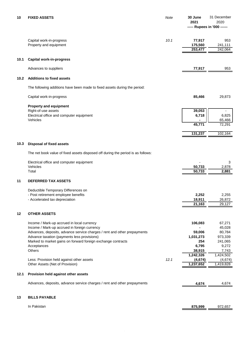| 10   | <b>FIXED ASSETS</b>                                                                                                     | Note | 30 June<br>2021       | 31 December<br>2020<br>----- Rupees in '000 ------ |
|------|-------------------------------------------------------------------------------------------------------------------------|------|-----------------------|----------------------------------------------------|
|      |                                                                                                                         |      |                       |                                                    |
|      | Capital work-in-progress<br>Property and equipment                                                                      | 10.1 | 77,917<br>175,560     | 953<br>241,111                                     |
|      |                                                                                                                         |      | 253,477               | 242,064                                            |
| 10.1 | <b>Capital work-in-progress</b>                                                                                         |      |                       |                                                    |
|      | Advances to suppliers                                                                                                   |      | 77,917                | 953                                                |
| 10.2 | <b>Additions to fixed assets</b>                                                                                        |      |                       |                                                    |
|      | The following additions have been made to fixed assets during the period:                                               |      |                       |                                                    |
|      | Capital work-in-progress                                                                                                |      | 85,466                | 29,873                                             |
|      | <b>Property and equipment</b>                                                                                           |      |                       |                                                    |
|      | Right-of-use assets<br>Electrical office and computer equipment                                                         |      | 39,053<br>6,718       | 6,825                                              |
|      | Vehicles                                                                                                                |      |                       | 65,466                                             |
|      |                                                                                                                         |      | 45,771                | 72,291                                             |
|      |                                                                                                                         |      | 131,237               | 102,164                                            |
| 10.3 | <b>Disposal of fixed assets</b>                                                                                         |      |                       |                                                    |
|      | The net book value of fixed assets disposed off during the period is as follows:                                        |      |                       |                                                    |
|      | Electrical office and computer equipment                                                                                |      |                       | 3                                                  |
|      | Vehicles                                                                                                                |      | 50,733                | 2,878                                              |
|      | Total                                                                                                                   |      | 50,733                | 2,881                                              |
| 11   | <b>DEFERRED TAX ASSETS</b>                                                                                              |      |                       |                                                    |
|      | Deductible Temporary Differences on                                                                                     |      |                       |                                                    |
|      | Post retirement employee benefits                                                                                       |      | 2,252<br>18,911       | 2,255                                              |
|      | - Accelerated tax depreciation                                                                                          |      | 21,163                | 26,872<br>29,127                                   |
| 12   | <b>OTHER ASSETS</b>                                                                                                     |      |                       |                                                    |
|      | Income / Mark-up accrued in local currency                                                                              |      | 106,083               | 67,271                                             |
|      | Income / Mark-up accrued in foreign currency                                                                            |      |                       | 45,028                                             |
|      | Advances, deposits, advance service charges / rent and other prepayments<br>Advance taxation (payments less provisions) |      | 59,006<br>1,031,273   | 80,784<br>973,339                                  |
|      | Marked to market gains on forward foreign exchange contracts                                                            |      | 254                   | 241,065                                            |
|      | Acceptances                                                                                                             |      | 6,795                 | 9,272                                              |
|      | Others                                                                                                                  |      | 38,915                | 7,743                                              |
|      | Less: Provision held against other assets                                                                               | 12.1 | 1,242,326<br>(4, 674) | 1,424,502<br>(4,674)                               |
|      | Other Assets (Net of Provision)                                                                                         |      | 1,237,652             | 1,419,828                                          |
| 12.1 | Provision held against other assets                                                                                     |      |                       |                                                    |
|      | Advances, deposits, advance service charges / rent and other prepayments                                                |      | 4,674                 | 4,674                                              |
| 13   | <b>BILLS PAYABLE</b>                                                                                                    |      |                       |                                                    |
|      |                                                                                                                         |      |                       |                                                    |
|      | In Pakistan                                                                                                             |      | 875,999               | 972,657                                            |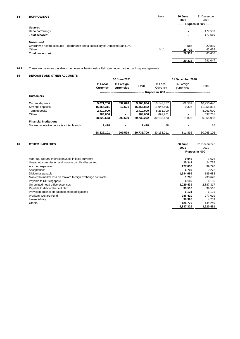| <b>Secured</b><br>Repo borrowings<br>$\overline{\phantom{a}}$<br><b>Total secured</b><br><b>Unsecured</b><br>Overdrawn nostro accounts - Interbranch and a subsidiary of Deutsche Bank, AG<br>603<br>14.1<br>Others<br>28,729<br>29,332<br><b>Total unsecured</b> | 31 December<br>2020<br>------- Rupees in '000 ------ |
|-------------------------------------------------------------------------------------------------------------------------------------------------------------------------------------------------------------------------------------------------------------------|------------------------------------------------------|
|                                                                                                                                                                                                                                                                   |                                                      |
|                                                                                                                                                                                                                                                                   | 177,589                                              |
|                                                                                                                                                                                                                                                                   | 177,589                                              |
|                                                                                                                                                                                                                                                                   |                                                      |
|                                                                                                                                                                                                                                                                   | 20,819                                               |
|                                                                                                                                                                                                                                                                   | 42,639                                               |
|                                                                                                                                                                                                                                                                   | 63,458                                               |
| 29,332                                                                                                                                                                                                                                                            | 241,047                                              |

**14.1** These are balances payable to commercial banks inside Pakistan under partner banking arrangements.

# **15 DEPOSITS AND OTHER ACCOUNTS**

|                                          |                      | 30 June 2021             |            | 31 December 2020     |                          |            |  |
|------------------------------------------|----------------------|--------------------------|------------|----------------------|--------------------------|------------|--|
|                                          | In Local<br>Currency | In Foreign<br>currencies | Total      | In Local<br>Currency | In Foreign<br>currencies | Total      |  |
|                                          |                      |                          |            | ⋅ Rupees in '000 -   |                          |            |  |
| <b>Customers</b>                         |                      |                          |            |                      |                          |            |  |
|                                          |                      |                          |            |                      |                          |            |  |
| Current deposits                         | 9,071,756            | 897,078                  | 9,968,834  | 10,147,857           | 802,589                  | 10,950,446 |  |
| Savings deposits                         | 16,354,311           | 12,521                   | 16,366,832 | 11,046,505           | 9,306                    | 11,055,811 |  |
| Term deposits                            | 2,410,000            |                          | 2,410,000  | 8,261,000            |                          | 8,261,000  |  |
| Others                                   | 984,606              |                          | 984,606    | 697,761              |                          | 697,761    |  |
|                                          | 28,820,673           | 909.599                  | 29,730,272 | 30,153,123           | 811.895                  | 30,965,018 |  |
| <b>Financial Institutions</b>            |                      |                          |            |                      |                          |            |  |
| Non-remunerative deposits - inter branch | 1,428                |                          | 1,428      | 88                   |                          | 88         |  |
|                                          |                      |                          |            |                      |                          |            |  |
|                                          | 28,822,101           | 909,599                  | 29,731,700 | 30,153,211           | 811.895                  | 30.965.106 |  |

| 16              | <b>OTHER LIABILITIES</b>                                    | 30 June<br>2021<br>------- Rupees in '000 ------ | 31 December<br>2020 |
|-----------------|-------------------------------------------------------------|--------------------------------------------------|---------------------|
|                 | Mark-up/ Return/ Interest payable in local currency         | 9,046                                            | 1,676               |
|                 | Unearned commission and income on bills discounted          | 25,342                                           | 24,735              |
|                 | Accrued expenses                                            | 127,836                                          | 99,790              |
| Acceptances     |                                                             | 6.795                                            | 9,272               |
|                 | Dividends payable                                           | 1,184,699                                        | 189,682             |
|                 | Marked to market loss on forward foreign exchange contracts | 1,765                                            | 230,620             |
|                 | Payable to DB Singapore                                     | 6,195                                            | 6,195               |
|                 | Unremitted head office expenses                             | 3,029,439                                        | 2,887,317           |
|                 | Payable to defined benefit plan                             | 39,516                                           | 39,516              |
|                 | Provision against off-balance sheet obligations             | 6.121                                            | 6,121               |
|                 | <b>Workers Welfare Fund</b>                                 | 286,410                                          | 277,019             |
| Lease liability |                                                             | 38,395                                           | 4.259               |
| <b>Others</b>   |                                                             | 125,770                                          | 144,249             |
|                 |                                                             | 4,887,329                                        | 3,920,451           |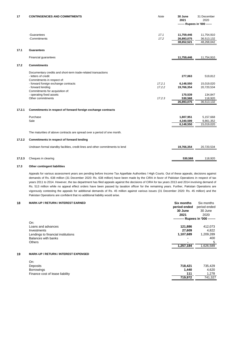| 17     | <b>CONTINGENCIES AND COMMITMENTS</b>                                          | Note   | 30 June<br>2021               | 31 December<br>2020 |
|--------|-------------------------------------------------------------------------------|--------|-------------------------------|---------------------|
|        |                                                                               |        | ------- Rupees in '000 ------ |                     |
|        |                                                                               |        |                               |                     |
|        | -Guarantees                                                                   | 17.1   | 11,759,446                    | 11,754,910          |
|        | -Commitments                                                                  | 17.2   | 26,893,075                    | 36,513,132          |
|        |                                                                               |        | 38,652,521                    | 48,268,042          |
|        |                                                                               |        |                               |                     |
| 17.1   | <b>Guarantees</b>                                                             |        |                               |                     |
|        | Financial guarantees                                                          |        | 11,759,446                    | 11,754,910          |
|        |                                                                               |        |                               |                     |
| 17.2   | <b>Commitments</b>                                                            |        |                               |                     |
|        | Documentary credits and short-term trade-related transactions                 |        |                               |                     |
|        | - letters of credit                                                           |        | 277,063                       | 519,812             |
|        | Commitments in respect of:                                                    |        |                               |                     |
|        | - forward foreign exchange contracts                                          | 17.2.1 | 6,148,550                     | 15,019,020          |
|        | - forward lending                                                             | 17.2.2 | 19,766,354                    | 20,720,534          |
|        | Commitments for acquisition of:                                               |        |                               |                     |
|        | - operating fixed assets                                                      |        | 170,539                       | 134,847             |
|        | Other commitments                                                             | 17.2.3 | 530,568                       | 118,920             |
|        |                                                                               |        | 26,893,075                    | 36,513,132          |
| 17.2.1 | Commitments in respect of forward foreign exchange contracts                  |        |                               |                     |
|        |                                                                               |        |                               |                     |
|        | Purchase                                                                      |        | 1,807,951                     | 5,157,668           |
|        | Sale                                                                          |        | 4,340,599                     | 9,861,352           |
|        |                                                                               |        | 6,148,550                     | 15,019,020          |
|        |                                                                               |        |                               |                     |
|        | The maturities of above contracts are spread over a period of one month.      |        |                               |                     |
| 17.2.2 | Commitments in respect of forward lending                                     |        |                               |                     |
|        | Undrawn formal standby facilities, credit lines and other commitments to lend |        | 19,766,354                    | 20,720,534          |
|        |                                                                               |        |                               |                     |
| 17.2.3 | Cheques in clearing                                                           |        | 530.568                       | 118.920             |

# **17.3 Other contingent liabilities**

Appeals for various assessment years are pending before Income Tax Appellate Authorities / High Courts. Out of these appeals, decisions against demands of Rs. 638 million (31 December 2020: Rs. 638 million) have been made by the CIRA in favor of Pakistan Operations in respect of tax years 2011 to 2014. However, the tax department has filed appeals against the decisions of CIRA for tax years 2013 and 2014 involving demand of Rs. 513 million while no appeal effect orders have been passed by taxation officer for the remaining years. Further, Pakistan Operations are vigorously contesting the appeals for additional demands of Rs. 45 million against various issues (31 December 2020: Rs. 45 million) and the Pakistan Operations are confident that no additional liability would arise.

# **18 MARK-UP / RETURN / INTEREST EARNED Six months** Six months

| . . |                                             | טווועוווע    | טוווטווו אוט                     |
|-----|---------------------------------------------|--------------|----------------------------------|
|     |                                             | period ended | period ended                     |
|     |                                             | 30 June      | 30 June                          |
|     |                                             | 2021         | 2020                             |
|     |                                             |              | --------- Rupees in '000 ------- |
|     | On:                                         |              |                                  |
|     | Loans and advances                          | 121,886      | 412,073                          |
|     | Investments                                 | 27,609       | 4,822                            |
|     | Lendings to financial institutions          | 1,107,689    | 1,209,289                        |
|     | Balances with banks                         |              | 400                              |
|     | <b>Others</b>                               |              | 5                                |
|     |                                             | 1,257,184    | 1,626,589                        |
|     |                                             |              |                                  |
| 19  | <b>MARK-UP / RETURN / INTEREST EXPENSED</b> |              |                                  |
|     | On:                                         |              |                                  |
|     | Deposits                                    | 718,421      | 735,429                          |
|     | <b>Borrowings</b>                           | 1,440        | 4,620                            |
|     | Finance cost of lease liability             | 111          | 1,278                            |
|     |                                             | 719,972      | 741,327                          |
|     |                                             |              |                                  |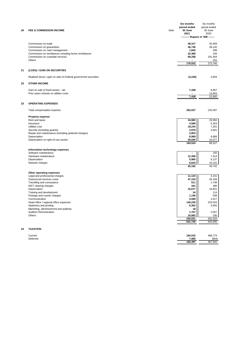| 20 | <b>FEE &amp; COMMISSION INCOME</b>                                                       | Note | Six months<br>period ended<br>30 June<br>2021<br>-------- Rupees in '000 ------- | Six months<br>period ended<br>30 June<br>2020 |
|----|------------------------------------------------------------------------------------------|------|----------------------------------------------------------------------------------|-----------------------------------------------|
|    |                                                                                          |      |                                                                                  |                                               |
|    | Commission on trade                                                                      |      | 48,317                                                                           | 43,459                                        |
|    | Commission on guarantees                                                                 |      | 36,736                                                                           | 38,142                                        |
|    | Commission on cash management                                                            |      | 1,842                                                                            | 289                                           |
|    | Commission on remittances including home remittances<br>Commission on custodial services |      | 22,369<br>69,258                                                                 | 194<br>191,404                                |
|    | Others                                                                                   |      |                                                                                  | 252                                           |
|    |                                                                                          |      | 178,522                                                                          | 273,740                                       |
| 21 | (LOSS) / GAIN ON SECURITIES                                                              |      |                                                                                  |                                               |
|    | Realised (loss) / gain on sale of Federal government securities                          |      | (3, 244)                                                                         | 3,854                                         |
| 22 | <b>OTHER INCOME</b>                                                                      |      |                                                                                  |                                               |
|    | Gain on sale of fixed assets - net                                                       |      | 7,438                                                                            | 8,957                                         |
|    | Prior years refunds on utilities costs                                                   |      |                                                                                  | 13,843                                        |
|    |                                                                                          |      | 7,438                                                                            | 22,800                                        |
| 23 | <b>OPERATING EXPENSES</b>                                                                |      |                                                                                  |                                               |
|    | Total compensation expense                                                               |      | 262,027                                                                          | 220,497                                       |
|    | <b>Property expense</b>                                                                  |      |                                                                                  |                                               |
|    | Rent and taxes                                                                           |      | 34,982                                                                           | 29,956                                        |
|    | Insurance                                                                                |      | 4,589                                                                            | 5,353                                         |
|    | Utilities cost<br>Security (including guards)                                            |      | 19,244<br>3,978                                                                  | 7,261<br>3,691                                |
|    | Repair and maintenance (including janitorial charges)                                    |      | 2,803                                                                            |                                               |
|    | Depreciation                                                                             |      | 8,989                                                                            | 8,989                                         |
|    | Depreciation on right-of-use assets                                                      |      | 29,939<br>104,524                                                                | 33,077<br>88,327                              |
|    |                                                                                          |      |                                                                                  |                                               |
|    | Information technology expenses                                                          |      |                                                                                  |                                               |
|    | Software maintenance                                                                     |      |                                                                                  | 150                                           |
|    | Hardware maintenance<br>Depreciation                                                     |      | 12,358<br>5,985                                                                  | 7,314<br>8,137                                |
|    | Network charges                                                                          |      | 6,819                                                                            | 15,141                                        |
|    |                                                                                          |      | 25,162                                                                           | 30,742                                        |
|    | Other operating expenses                                                                 |      |                                                                                  |                                               |
|    | Legal and professional charges                                                           |      | 11,123                                                                           | 4,141                                         |
|    | Outsourced services costs<br>Travelling and conveyance                                   |      | 47,319<br>511                                                                    | 45,158<br>1,748                               |
|    | NIFT clearing charges                                                                    |      | 341                                                                              | 396                                           |
|    | Depreciation                                                                             |      | 15,677                                                                           | 19,821                                        |
|    | Training and development                                                                 |      | 34                                                                               | 114                                           |
|    | Postage and courier charges                                                              |      | 1,158                                                                            | 559                                           |
|    | Communication<br>Head office / regional office expenses                                  |      | 3,589<br>145.239                                                                 | 3,517<br>220,033                              |
|    | Stationery and printing                                                                  |      | 6,362                                                                            | 4,655                                         |
|    | Marketing, advertisement and publicity                                                   |      | 18                                                                               |                                               |
|    | <b>Auditors Remuneration</b>                                                             |      | 1,767                                                                            | 2,057                                         |
|    | Others                                                                                   |      | 16,883<br>250,021                                                                | 330<br>302,529                                |
|    |                                                                                          |      | 641,734                                                                          | 642,095                                       |
| 24 | <b>TAXATION</b>                                                                          |      |                                                                                  |                                               |
|    |                                                                                          |      |                                                                                  |                                               |
|    | Current<br>Deferred                                                                      |      | 184,532<br>7,965                                                                 | 488,774<br>(854)                              |
|    |                                                                                          |      | 192,497                                                                          | 487,920                                       |

| Current       | 184.532 | 488,774 |
|---------------|---------|---------|
| Deferred<br>. | 7,965   | (854)   |
|               | 192.497 | 487 920 |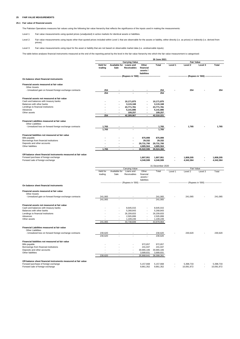# **25 FAIR VALUE MEASUREMENTS**

### **25.1 Fair value of financial assets**

The Pakistan Operations measures fair values using the following fair value hierarchy that reflects the significance of the inputs used in making the measurements:

Level 1: Fair value measurements using quoted prices (unadjusted) in active markets for identical assets or liabilities.

Level 2: Fair value measurements using inputs other than quoted prices included within Level 1 that are observable for the assets or liability, either directly (i.e. as prices) or indirectly (i.e. derived from prices).

Level 3: Fair value measurements using input for the asset or liability that are not based on observable market data (i.e. unobservable inputs).

The table below analyses financial instruments measured at the end of the reporting period by the level in the fair value hierarchy into which the fair value measurement is categorised:

|                                                                                                        |                            |                       |                                                                             |                                              | 30 June 2021            |         |                                                                     |                  |                         |
|--------------------------------------------------------------------------------------------------------|----------------------------|-----------------------|-----------------------------------------------------------------------------|----------------------------------------------|-------------------------|---------|---------------------------------------------------------------------|------------------|-------------------------|
|                                                                                                        |                            |                       | <b>Carrying Value</b>                                                       |                                              |                         |         | <b>Fair Value</b>                                                   |                  |                         |
|                                                                                                        | <b>Held for</b><br>trading | Available for<br>Sale | Loans and<br><b>Receivables</b>                                             | Other<br>financial<br>assets/<br>liabilities | Total                   | Level 1 | Level 2                                                             | Level 3          | Total                   |
| On balance sheet financial instruments                                                                 |                            |                       | (Rupees in '000)                                                            |                                              |                         |         |                                                                     | (Rupees in '000) |                         |
| Financial assets measured at fair value                                                                |                            |                       |                                                                             |                                              |                         |         |                                                                     |                  |                         |
| <b>Other Assets</b><br>- Unrealized gain on forward foreign exchange contracts                         | 254<br>254                 |                       |                                                                             |                                              | 254<br>254              |         | 254                                                                 |                  | 254                     |
|                                                                                                        |                            |                       |                                                                             |                                              |                         |         |                                                                     |                  |                         |
| Financial assets not measured at fair value                                                            |                            |                       |                                                                             |                                              |                         |         |                                                                     |                  |                         |
| Cash and balances with treasury banks<br>Balances with other banks                                     |                            |                       | 10,171,875<br>3,115,168                                                     |                                              | 10,171,875<br>3,115,168 |         |                                                                     |                  |                         |
| Lendings to financial institutions                                                                     |                            |                       | 23,771,781                                                                  |                                              | 23,771,781              |         |                                                                     |                  |                         |
| Advances                                                                                               |                            |                       | 5,141,886                                                                   |                                              | 5,141,886               |         |                                                                     |                  |                         |
| Other assets                                                                                           |                            |                       | 109,257                                                                     |                                              | 109,257                 |         |                                                                     |                  |                         |
|                                                                                                        | 254                        |                       | 42,309,967                                                                  |                                              | 42,310,221              |         |                                                                     |                  |                         |
| Financial Liabilities measured at fair value<br><b>Other Liabilities</b>                               |                            |                       |                                                                             |                                              |                         |         |                                                                     |                  |                         |
| - Unrealized loss on forward foreign exchange contracts                                                | 1,765                      |                       |                                                                             |                                              | 1,765                   |         | 1,765                                                               |                  | 1,765                   |
|                                                                                                        | 1,765                      |                       |                                                                             |                                              | 1,765                   |         |                                                                     |                  |                         |
| Financial liabilities not measured at fair value                                                       |                            |                       |                                                                             |                                              |                         |         |                                                                     |                  |                         |
| Bills payable                                                                                          |                            |                       |                                                                             | 875,999                                      | 875,999                 |         |                                                                     |                  |                         |
| Borrowings from financial institutions                                                                 |                            |                       |                                                                             | 29,332                                       | 29,332                  |         |                                                                     |                  |                         |
| Deposits and other accounts                                                                            |                            |                       |                                                                             | 29,731,700                                   | 29,731,700              |         |                                                                     |                  |                         |
| Other liabilities                                                                                      |                            |                       |                                                                             | 4,885,564                                    | 4,885,564               |         |                                                                     |                  |                         |
|                                                                                                        | 1,765                      |                       |                                                                             | 35,522,595                                   | 35,524,360              |         |                                                                     |                  |                         |
| Off-balance sheet financial instruments measured at fair value<br>Forward purchase of foreign exchange |                            |                       |                                                                             | 1,807,951                                    | 1,807,951               |         | 1,808,205                                                           |                  | 1,808,205               |
| Forward sale of foreign exchange                                                                       |                            |                       |                                                                             | 4,340,599                                    | 4,340,599               |         | 4,342,364                                                           |                  | 4,342,364               |
|                                                                                                        |                            |                       |                                                                             |                                              |                         |         |                                                                     |                  |                         |
|                                                                                                        |                            |                       | Carrying Value                                                              |                                              | 31 December 2020        |         | Fair Value                                                          |                  |                         |
|                                                                                                        | Held for                   | Available for         | Loans and                                                                   | Other                                        | Total                   | Level 1 | Level 2                                                             | Level 3          | Total                   |
|                                                                                                        | trading                    | Sale                  | Receivables                                                                 | financial<br>assets /<br>liabilities         |                         |         |                                                                     |                  |                         |
|                                                                                                        |                            |                       | ---------------------------- (Rupees in '000) ----------------------------- |                                              |                         |         | -------------------------- (Rupees in '000) ----------------------- |                  |                         |
| On balance sheet financial instruments                                                                 |                            |                       |                                                                             |                                              |                         |         |                                                                     |                  |                         |
| Financial assets measured at fair value<br><b>Other Assets</b>                                         |                            |                       |                                                                             |                                              |                         |         |                                                                     |                  |                         |
| - Unrealized gain on forward foreign exchange contracts                                                | 241,065                    |                       |                                                                             |                                              | 241,065                 |         | 241,065                                                             |                  | 241,065                 |
|                                                                                                        | 241.065                    |                       |                                                                             |                                              | 241,065                 |         |                                                                     |                  |                         |
| Financial assets not measured at fair value                                                            |                            |                       |                                                                             |                                              |                         |         |                                                                     |                  |                         |
| Cash and balances with treasury banks                                                                  |                            |                       | 8,645,015                                                                   |                                              | 8,645,015               |         |                                                                     |                  |                         |
| Balances with other banks                                                                              |                            |                       | 5,268,843                                                                   |                                              | 5,268,843               |         |                                                                     |                  |                         |
| Lendings to financial institutions                                                                     |                            |                       | 26,209,833                                                                  |                                              | 26,209,833              |         |                                                                     |                  |                         |
| Advances                                                                                               |                            |                       | 2,505,899                                                                   |                                              | 2,505,899               |         |                                                                     |                  |                         |
| Other assets                                                                                           | 241,065                    |                       | 1,109,249<br>43,738,839                                                     |                                              | 1,109,249<br>43,979,904 |         |                                                                     |                  |                         |
|                                                                                                        |                            |                       |                                                                             |                                              |                         |         |                                                                     |                  |                         |
| Financial Liabilities measured at fair value<br><b>Other Liabilities</b>                               |                            |                       |                                                                             |                                              |                         |         |                                                                     |                  |                         |
| - Unrealized loss on forward foreign exchange contracts                                                | 230.620                    |                       |                                                                             |                                              | 230.620                 |         | 230,620                                                             |                  | 230,620                 |
|                                                                                                        | 230,620                    |                       |                                                                             |                                              | 230,620                 |         |                                                                     |                  |                         |
| Financial liabilities not measured at fair value                                                       |                            |                       |                                                                             |                                              |                         |         |                                                                     |                  |                         |
|                                                                                                        |                            |                       |                                                                             |                                              |                         |         |                                                                     |                  |                         |
|                                                                                                        |                            |                       |                                                                             |                                              |                         |         |                                                                     |                  |                         |
| Bills payable                                                                                          |                            |                       |                                                                             | 972,657                                      | 972,657                 |         |                                                                     |                  |                         |
| Borrowings from financial institutions<br>Deposits and other accounts                                  |                            |                       |                                                                             | 241,047<br>30,965,106                        | 241,047<br>30,965,106   |         |                                                                     |                  |                         |
| Other liabilities                                                                                      |                            |                       |                                                                             | 3,689,831                                    | 3,689,831               |         |                                                                     |                  |                         |
|                                                                                                        | 230,620                    | ÷.                    |                                                                             | 35,868,641                                   | 36,099,261              |         |                                                                     |                  |                         |
|                                                                                                        |                            |                       |                                                                             |                                              |                         |         |                                                                     |                  |                         |
| Off-balance sheet financial instruments measured at fair value                                         |                            |                       |                                                                             |                                              |                         |         |                                                                     |                  |                         |
| Forward purchase of foreign exchange<br>Forward sale of foreign exchange                               |                            |                       |                                                                             | 5,157,668<br>9,861,352                       | 5,157,668<br>9,861,352  | ٠       | 5,398,733<br>10,091,972                                             |                  | 5,398,733<br>10,091,972 |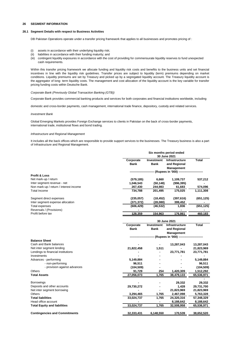# **26 SEGMENT INFORMATION**

### **26.1 Segment Details with respect to Business Activities**

DB Pakistan Operations operate under a transfer pricing framework that applies to all businesses and promotes pricing of :

- (i) assets in accordance with their underlying liquidity risk;
- (ii) liabilities in accordance with their funding maturity; and
- (iii) contingent liquidity exposures in accordance with the cost of providing for commensurate liquidity reserves to fund unexpected cash requirements.

Within this transfer pricing framework we allocate funding and liquidity risk costs and benefits to the business units and set financial incentives in line with the liquidity risk guidelines. Transfer prices are subject to liquidity (term) premiums depending on market conditions. Liquidity premiums are set by Treasury and picked up by a segregated liquidity account. The Treasury liquidity account is the aggregator of long- term liquidity costs. The management and cost allocation of the liquidity account is the key variable for transfer pricing funding costs within Deutsche Bank.

### *Corporate Bank (Previously Global Transaction Banking (GTB))*

Corporate Bank provides commercial banking products and services for both corporates and financial institutions worldwide, including

domestic and cross-border payments, cash management, international trade finance, depository, custody and related services.

#### *Investment Bank*

Global Emerging Markets provides Foreign Exchange services to clients in Pakistan on the back of cross-border payments, international trade, institutional flows and bond trading.

## *Infrastructure and Regional Management*

It includes all the back offices which are responsible to provide support services to the businesses. The Treasury business is also a part of Infrastructure and Regional Management.

| <b>Total</b><br>Corporate<br>Investment<br><b>Infrastructure</b><br><b>Bank</b><br>Bank<br>and Regional<br>Management<br>--- (Rupees in '000) ------<br><b>Profit &amp; Loss</b><br>Net mark-up / return<br>(579, 185)<br>6,660<br>1,109,737<br>537,212<br>Inter segment revenue - net<br>1,046,543<br>(50, 148)<br>(996, 395)<br>61,683<br>267,430<br>244,983<br><b>Total Income</b><br>201,495<br>175,025<br>734,788<br>Segment direct expenses<br>(235,057)<br>(18, 452)<br>(397, 616)<br>Inter segment expense allocation<br>(371, 372)<br>(28,080)<br>399,452<br><b>Total expenses</b><br>1,836<br>(606, 429)<br>(46, 532)<br>Reversals / (Provisions)<br>۰<br>Profit before tax<br>128,359<br>154,963<br>176,861<br>30 June 2021<br><b>Total</b><br>Corporate<br>Investment<br>Infrastructure<br>Bank<br>Bank<br>and Regional<br>Management<br>-- (Rupees in '000) ---------<br><b>Balance Sheet</b><br>Cash and Bank balances<br>13,287,043<br>21,822,458<br>1,511<br>23,771,781<br>Investments<br>Advances - performing<br>5,149,884<br>5,149,884<br>- non-performing<br>96,511<br>- provision against advances<br>(104, 509)<br>(104, 509)<br><b>Others</b><br>254<br>91,729<br>1,420,309<br>1,512,292<br>1,765<br>27,056,073<br><u>38,479,133</u><br>65,536,971<br>29,332<br>29,332<br>Deposits and other accounts<br>29,730,272<br>1,428<br>29,731,700<br>21,823,969<br><b>Others</b><br>1,765<br>3,294,465<br>2,467,098<br>1,765<br>33,024,737<br>24,320,316 |                     | Six months period ended<br>30 June 2021 |           |            |  |
|--------------------------------------------------------------------------------------------------------------------------------------------------------------------------------------------------------------------------------------------------------------------------------------------------------------------------------------------------------------------------------------------------------------------------------------------------------------------------------------------------------------------------------------------------------------------------------------------------------------------------------------------------------------------------------------------------------------------------------------------------------------------------------------------------------------------------------------------------------------------------------------------------------------------------------------------------------------------------------------------------------------------------------------------------------------------------------------------------------------------------------------------------------------------------------------------------------------------------------------------------------------------------------------------------------------------------------------------------------------------------------------------------------------------------------------------------------------------------|---------------------|-----------------------------------------|-----------|------------|--|
| Non mark-up / return / interest income<br>Net inter segment lending<br>Lendings to financial institutions<br><b>Total Assets</b><br><b>Borrowings</b><br>Net inter segment borrowing<br><b>Total liabilities</b>                                                                                                                                                                                                                                                                                                                                                                                                                                                                                                                                                                                                                                                                                                                                                                                                                                                                                                                                                                                                                                                                                                                                                                                                                                                         |                     |                                         |           |            |  |
|                                                                                                                                                                                                                                                                                                                                                                                                                                                                                                                                                                                                                                                                                                                                                                                                                                                                                                                                                                                                                                                                                                                                                                                                                                                                                                                                                                                                                                                                          |                     |                                         |           |            |  |
|                                                                                                                                                                                                                                                                                                                                                                                                                                                                                                                                                                                                                                                                                                                                                                                                                                                                                                                                                                                                                                                                                                                                                                                                                                                                                                                                                                                                                                                                          |                     |                                         |           |            |  |
|                                                                                                                                                                                                                                                                                                                                                                                                                                                                                                                                                                                                                                                                                                                                                                                                                                                                                                                                                                                                                                                                                                                                                                                                                                                                                                                                                                                                                                                                          |                     |                                         |           |            |  |
|                                                                                                                                                                                                                                                                                                                                                                                                                                                                                                                                                                                                                                                                                                                                                                                                                                                                                                                                                                                                                                                                                                                                                                                                                                                                                                                                                                                                                                                                          |                     |                                         |           | 574,096    |  |
|                                                                                                                                                                                                                                                                                                                                                                                                                                                                                                                                                                                                                                                                                                                                                                                                                                                                                                                                                                                                                                                                                                                                                                                                                                                                                                                                                                                                                                                                          |                     |                                         |           | 1,111,308  |  |
|                                                                                                                                                                                                                                                                                                                                                                                                                                                                                                                                                                                                                                                                                                                                                                                                                                                                                                                                                                                                                                                                                                                                                                                                                                                                                                                                                                                                                                                                          |                     |                                         |           | (651, 125) |  |
|                                                                                                                                                                                                                                                                                                                                                                                                                                                                                                                                                                                                                                                                                                                                                                                                                                                                                                                                                                                                                                                                                                                                                                                                                                                                                                                                                                                                                                                                          |                     |                                         |           |            |  |
|                                                                                                                                                                                                                                                                                                                                                                                                                                                                                                                                                                                                                                                                                                                                                                                                                                                                                                                                                                                                                                                                                                                                                                                                                                                                                                                                                                                                                                                                          |                     |                                         |           | (651, 125) |  |
|                                                                                                                                                                                                                                                                                                                                                                                                                                                                                                                                                                                                                                                                                                                                                                                                                                                                                                                                                                                                                                                                                                                                                                                                                                                                                                                                                                                                                                                                          |                     |                                         |           | 460,183    |  |
|                                                                                                                                                                                                                                                                                                                                                                                                                                                                                                                                                                                                                                                                                                                                                                                                                                                                                                                                                                                                                                                                                                                                                                                                                                                                                                                                                                                                                                                                          |                     |                                         |           |            |  |
|                                                                                                                                                                                                                                                                                                                                                                                                                                                                                                                                                                                                                                                                                                                                                                                                                                                                                                                                                                                                                                                                                                                                                                                                                                                                                                                                                                                                                                                                          |                     |                                         |           |            |  |
|                                                                                                                                                                                                                                                                                                                                                                                                                                                                                                                                                                                                                                                                                                                                                                                                                                                                                                                                                                                                                                                                                                                                                                                                                                                                                                                                                                                                                                                                          |                     |                                         |           |            |  |
|                                                                                                                                                                                                                                                                                                                                                                                                                                                                                                                                                                                                                                                                                                                                                                                                                                                                                                                                                                                                                                                                                                                                                                                                                                                                                                                                                                                                                                                                          |                     |                                         |           |            |  |
|                                                                                                                                                                                                                                                                                                                                                                                                                                                                                                                                                                                                                                                                                                                                                                                                                                                                                                                                                                                                                                                                                                                                                                                                                                                                                                                                                                                                                                                                          |                     |                                         |           |            |  |
|                                                                                                                                                                                                                                                                                                                                                                                                                                                                                                                                                                                                                                                                                                                                                                                                                                                                                                                                                                                                                                                                                                                                                                                                                                                                                                                                                                                                                                                                          |                     |                                         |           | 13,287,043 |  |
|                                                                                                                                                                                                                                                                                                                                                                                                                                                                                                                                                                                                                                                                                                                                                                                                                                                                                                                                                                                                                                                                                                                                                                                                                                                                                                                                                                                                                                                                          |                     |                                         |           | 21,823,969 |  |
|                                                                                                                                                                                                                                                                                                                                                                                                                                                                                                                                                                                                                                                                                                                                                                                                                                                                                                                                                                                                                                                                                                                                                                                                                                                                                                                                                                                                                                                                          |                     |                                         |           | 23,771,781 |  |
|                                                                                                                                                                                                                                                                                                                                                                                                                                                                                                                                                                                                                                                                                                                                                                                                                                                                                                                                                                                                                                                                                                                                                                                                                                                                                                                                                                                                                                                                          |                     |                                         |           |            |  |
|                                                                                                                                                                                                                                                                                                                                                                                                                                                                                                                                                                                                                                                                                                                                                                                                                                                                                                                                                                                                                                                                                                                                                                                                                                                                                                                                                                                                                                                                          |                     |                                         |           |            |  |
|                                                                                                                                                                                                                                                                                                                                                                                                                                                                                                                                                                                                                                                                                                                                                                                                                                                                                                                                                                                                                                                                                                                                                                                                                                                                                                                                                                                                                                                                          |                     |                                         |           | 96,511     |  |
|                                                                                                                                                                                                                                                                                                                                                                                                                                                                                                                                                                                                                                                                                                                                                                                                                                                                                                                                                                                                                                                                                                                                                                                                                                                                                                                                                                                                                                                                          |                     |                                         |           |            |  |
|                                                                                                                                                                                                                                                                                                                                                                                                                                                                                                                                                                                                                                                                                                                                                                                                                                                                                                                                                                                                                                                                                                                                                                                                                                                                                                                                                                                                                                                                          |                     |                                         |           |            |  |
|                                                                                                                                                                                                                                                                                                                                                                                                                                                                                                                                                                                                                                                                                                                                                                                                                                                                                                                                                                                                                                                                                                                                                                                                                                                                                                                                                                                                                                                                          |                     |                                         |           |            |  |
|                                                                                                                                                                                                                                                                                                                                                                                                                                                                                                                                                                                                                                                                                                                                                                                                                                                                                                                                                                                                                                                                                                                                                                                                                                                                                                                                                                                                                                                                          |                     |                                         |           |            |  |
|                                                                                                                                                                                                                                                                                                                                                                                                                                                                                                                                                                                                                                                                                                                                                                                                                                                                                                                                                                                                                                                                                                                                                                                                                                                                                                                                                                                                                                                                          |                     |                                         |           |            |  |
|                                                                                                                                                                                                                                                                                                                                                                                                                                                                                                                                                                                                                                                                                                                                                                                                                                                                                                                                                                                                                                                                                                                                                                                                                                                                                                                                                                                                                                                                          |                     |                                         |           | 21,823,969 |  |
|                                                                                                                                                                                                                                                                                                                                                                                                                                                                                                                                                                                                                                                                                                                                                                                                                                                                                                                                                                                                                                                                                                                                                                                                                                                                                                                                                                                                                                                                          |                     |                                         |           | 5,763,328  |  |
|                                                                                                                                                                                                                                                                                                                                                                                                                                                                                                                                                                                                                                                                                                                                                                                                                                                                                                                                                                                                                                                                                                                                                                                                                                                                                                                                                                                                                                                                          |                     |                                         |           | 57,348,329 |  |
|                                                                                                                                                                                                                                                                                                                                                                                                                                                                                                                                                                                                                                                                                                                                                                                                                                                                                                                                                                                                                                                                                                                                                                                                                                                                                                                                                                                                                                                                          | Head office account | $\blacksquare$                          | 8,188,642 | 8,188,642  |  |
| <b>Total Equity and liabilities</b><br>33,024,737<br>1,765<br>32,508,958                                                                                                                                                                                                                                                                                                                                                                                                                                                                                                                                                                                                                                                                                                                                                                                                                                                                                                                                                                                                                                                                                                                                                                                                                                                                                                                                                                                                 |                     |                                         |           | 65,536,971 |  |
| <b>Contingencies and Commitments</b><br><u>32,333,431</u><br>6,148,550<br>170,539                                                                                                                                                                                                                                                                                                                                                                                                                                                                                                                                                                                                                                                                                                                                                                                                                                                                                                                                                                                                                                                                                                                                                                                                                                                                                                                                                                                        |                     |                                         |           | 38,652,520 |  |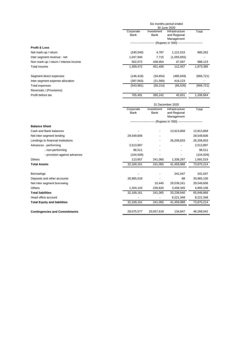|                                        |                          |                    | Six months period ended                                            |            |  |  |  |
|----------------------------------------|--------------------------|--------------------|--------------------------------------------------------------------|------------|--|--|--|
|                                        |                          | 30 June 2020       |                                                                    |            |  |  |  |
|                                        | Corporate                | Investment         | Infrastructure                                                     | Total      |  |  |  |
|                                        | Bank                     | Bank               | and Regional                                                       |            |  |  |  |
|                                        |                          |                    | Management                                                         |            |  |  |  |
|                                        |                          |                    | ------------------------ (Rupees in '000) ------------------------ |            |  |  |  |
| Profit & Loss                          |                          |                    |                                                                    |            |  |  |  |
| Net mark-up / return                   | (240, 540)               | 4,787              | 1,121,015                                                          | 885,262    |  |  |  |
| Inter segment revenue - net            | 1,047,940                | 7,715              | (1,055,655)                                                        |            |  |  |  |
| Non mark-up / return / interest income | 502,072                  | 438,954            | 47,097                                                             | 988,123    |  |  |  |
| Total Income                           | 1,309,472                | 451,456            | 112,457                                                            | 1,873,385  |  |  |  |
| Segment direct expenses                | (146, 418)               | (34, 654)          | (485, 649)                                                         | (666, 721) |  |  |  |
| Inter segment expense allocation       | (397, 563)               | (21, 560)          | 419,123                                                            |            |  |  |  |
| Total expenses                         | (543,981)                | (56, 214)          | (66, 526)                                                          | (666, 721) |  |  |  |
| Reversals / (Provisions)               |                          |                    |                                                                    |            |  |  |  |
| Profit before tax                      | 765,491                  | 395,242            | 45,931                                                             | 1,206,664  |  |  |  |
|                                        |                          | 31 December 2020   |                                                                    |            |  |  |  |
|                                        | Corporate<br><b>Bank</b> | Investment<br>Bank | Infrastructure<br>and Regional<br>Management                       | Total      |  |  |  |

|                                      | ----------------------- (Rupees in '000) ----------------------- |            |            |            |  |
|--------------------------------------|------------------------------------------------------------------|------------|------------|------------|--|
| <b>Balance Sheet</b>                 |                                                                  |            |            |            |  |
| Cash and Bank balances               |                                                                  |            | 13,913,858 | 13,913,858 |  |
| Net inter segment lending            | 29,549,606                                                       |            |            | 29,549,606 |  |
| Lendings to financial institutions   |                                                                  |            | 26,209,833 | 26,209,833 |  |
| Advances - performing                | 2,513,897                                                        |            |            | 2,513,897  |  |
| - non-performing                     | 96,511                                                           |            |            | 96,511     |  |
| - provision against advances         | (104, 509)                                                       |            |            | (104, 509) |  |
| <b>Others</b>                        | 113,657                                                          | 241,065    | 1,336,297  | 1,691,019  |  |
| <b>Total Assets</b>                  | 32,169,161                                                       | 241,065    | 41,459,988 | 73,870,214 |  |
|                                      |                                                                  |            |            |            |  |
| <b>Borrowings</b>                    |                                                                  |            | 241,047    | 241,047    |  |
| Deposits and other accounts          | 30,965,018                                                       |            | 88         | 30,965,106 |  |
| Net inter segment borrowing          |                                                                  | 10,445     | 29,539,161 | 29,549,606 |  |
| <b>Others</b>                        | 1,204,143                                                        | 230,620    | 3,458,345  | 4,893,108  |  |
| <b>Total liabilities</b>             | 32,169,161                                                       | 241,065    | 33,238,640 | 65,648,866 |  |
| Head office account                  |                                                                  |            | 8,221,348  | 8,221,348  |  |
| <b>Total Equity and liabilities</b>  | 32,169,161                                                       | 241,065    | 41,459,988 | 73,870,214 |  |
| <b>Contingencies and Commitments</b> | 28,075,577                                                       | 20,057,618 | 134,847    | 48,268,042 |  |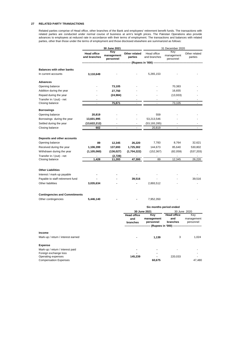# **27 RELATED PARTY TRANSACTIONS**

Related parties comprise of Head office, other branches of the Bank and employees' retirement benefit funds. The transactions with related parties are conducted under normal course of business at arm's length prices. The Pakistan Operations also provide advances to employees at reduced rate in accordance with their terms of employment. The transactions and balances with related parties, other than those under the terms of employment and those disclosed elsewhere are summarized as follows:

|                                                             |                                    | 30 June 2021      |                          | 31 December 2020            |                                           |                          |  |  |
|-------------------------------------------------------------|------------------------------------|-------------------|--------------------------|-----------------------------|-------------------------------------------|--------------------------|--|--|
|                                                             | <b>Head office</b><br>and branches | Key<br>management | Other related<br>parties | Head office<br>and branches | Key<br>management                         | Other related<br>parties |  |  |
|                                                             |                                    | personnel         |                          | (Rupees in '000) ---        | personnel                                 |                          |  |  |
|                                                             |                                    |                   |                          |                             |                                           |                          |  |  |
| <b>Balances with other banks</b><br>In current accounts     | 3,110,649                          |                   |                          | 5,265,153                   |                                           |                          |  |  |
| <b>Advances</b>                                             |                                    |                   |                          |                             |                                           |                          |  |  |
| Opening balance                                             |                                    | 73,105            |                          |                             | 70,383                                    |                          |  |  |
| Addition during the year                                    |                                    | 27,750            |                          |                             | 16,655                                    |                          |  |  |
| Repaid during the year                                      |                                    | (24, 984)         |                          |                             | (13,933)                                  |                          |  |  |
| Transfer in / (out) - net                                   |                                    | $\blacksquare$    |                          |                             | $\blacksquare$                            |                          |  |  |
| Closing balance                                             |                                    | 75,871            |                          |                             | 73,105                                    |                          |  |  |
| Borrowings                                                  |                                    |                   |                          |                             |                                           |                          |  |  |
| Opening balance                                             | 20,819                             |                   |                          | 559                         |                                           |                          |  |  |
| Borrowings during the year                                  | 13,601,995                         |                   |                          | 53,213,546                  |                                           |                          |  |  |
| Settled during the year                                     | (13,622,212)                       |                   |                          | (53,193,285)                |                                           |                          |  |  |
| Closing balance                                             | 602                                | $\blacksquare$    |                          | 20,819                      | ÷,                                        |                          |  |  |
|                                                             |                                    |                   |                          |                             |                                           |                          |  |  |
| Deposits and other accounts                                 |                                    |                   |                          |                             |                                           |                          |  |  |
| Opening balance                                             | 89                                 | 12,345            | 26,220                   | 7,783                       | 8,764                                     | 32,621                   |  |  |
| Received during the year                                    | 1,106,399                          | 137,693           | 1,725,302                | 144,673                     | 85,640                                    | 530,802                  |  |  |
| Withdrawn during the year                                   | (1, 105, 060)                      | (136, 027)        | (1,704,222)              | (152, 367)                  | (82,059)                                  | (537, 203)               |  |  |
| Transfer in / (out) - net                                   |                                    | (2,728)           |                          |                             |                                           |                          |  |  |
| Closing balance                                             | 1,428                              | 11,283            | 47,300                   | 89                          | 12,345                                    | 26,220                   |  |  |
|                                                             |                                    |                   |                          |                             |                                           |                          |  |  |
| <b>Other Liabilities</b>                                    |                                    |                   |                          |                             |                                           |                          |  |  |
| Interest / mark-up payable                                  |                                    |                   |                          |                             |                                           |                          |  |  |
| Payable to staff retirement fund                            |                                    |                   | 39,516                   |                             |                                           | 39,516                   |  |  |
| Other liabilities                                           | 3,035,634                          |                   |                          | 2,893,512                   |                                           | ÷,                       |  |  |
|                                                             |                                    |                   |                          |                             |                                           |                          |  |  |
| <b>Contingencies and Commitments</b><br>Other contingencies | 5,446,140                          |                   |                          | 7,952,350                   |                                           |                          |  |  |
|                                                             |                                    |                   |                          |                             |                                           |                          |  |  |
|                                                             |                                    |                   |                          |                             | Six months period ended                   |                          |  |  |
|                                                             |                                    |                   | <b>Head office</b>       | 30 June 2021<br>Key         | 30 June 2020<br><b>Head office</b><br>Key |                          |  |  |
|                                                             |                                    |                   | and                      | management                  | and                                       | management               |  |  |
|                                                             |                                    |                   | branches                 | personnel                   | branches                                  | personnel                |  |  |
|                                                             |                                    |                   |                          |                             | -- (Rupees in '000) -------               |                          |  |  |
| Income                                                      |                                    |                   |                          |                             |                                           |                          |  |  |
| Mark-up / return / interest earned                          |                                    |                   |                          | 1,139                       | 3                                         | 1,024                    |  |  |
| <b>Expense</b>                                              |                                    |                   |                          |                             |                                           |                          |  |  |
| Mark-up / return / interest paid                            |                                    |                   |                          | ٠                           | ÷                                         |                          |  |  |
| Foreign exchange loss                                       |                                    |                   |                          |                             |                                           | ٠.                       |  |  |
| Operating expenses                                          |                                    |                   | 145,239                  |                             | 220,033                                   |                          |  |  |
| <b>Compensation Expenses</b>                                |                                    |                   |                          | 60,675                      |                                           | 47,480                   |  |  |